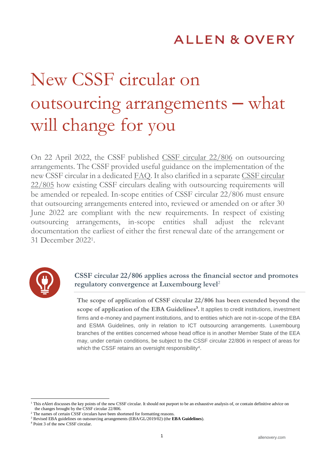# **ALLEN & OVERY**

# New CSSF circular on outsourcing arrangements – what will change for you

On 22 April 2022, the CSSF published [CSSF circular 22/806](https://www.cssf.lu/en/2022/04/circular-cssf-22-806-on-outsourcing-arrangements/) on outsourcing arrangements. The CSSF provided useful guidance on the implementation of the new CSSF circular in a dedicated [FAQ.](https://www.cssf.lu/en/2022/04/circular-cssf-22-806-on-outsourcing-arrangements/) It also clarified in a separate [CSSF circular](https://www.cssf.lu/en/Document/circular-cssf-22-805/)  [22/805](https://www.cssf.lu/en/Document/circular-cssf-22-805/) how existing CSSF circulars dealing with outsourcing requirements will be amended or repealed. In-scope entities of CSSF circular 22/806 must ensure that outsourcing arrangements entered into, reviewed or amended on or after 30 June 2022 are compliant with the new requirements. In respect of existing outsourcing arrangements, in-scope entities shall adjust the relevant documentation the earliest of either the first renewal date of the arrangement or 31 December 2022<sup>1</sup> .



# **CSSF circular 22/806 applies across the financial sector and promotes regulatory convergence at Luxembourg level**<sup>2</sup>

**The scope of application of CSSF circular 22/806 has been extended beyond the scope of application of the EBA Guidelines<sup>3</sup> .** It applies to credit institutions, investment firms and e-money and payment institutions, and to entities which are not in-scope of the EBA and ESMA Guidelines, only in relation to ICT outsourcing arrangements. Luxembourg branches of the entities concerned whose head office is in another Member State of the EEA may, under certain conditions, be subject to the CSSF circular 22/806 in respect of areas for which the CSSF retains an oversight responsibility<sup>4</sup>.

-

<sup>&</sup>lt;sup>1</sup> This eAlert discusses the key points of the new CSSF circular. It should not purport to be an exhaustive analysis of, or contain definitive advice on the changes brought by the CSSF circular 22/806.

<sup>&</sup>lt;sup>2</sup> The names of certain CSSF circulars have been shortened for formatting reasons.

<sup>3</sup> Revised EBA guidelines on outsourcing arrangements (EBA/GL/2019/02) (the **EBA Guidelines**).

<sup>4</sup> Point 3 of the new CSSF circular.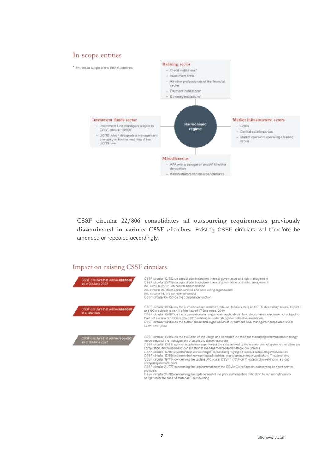# In-scope entities



**CSSF circular 22/806 consolidates all outsourcing requirements previously disseminated in various CSSF circulars.** Existing CSSF circulars will therefore be amended or repealed accordingly.

#### Impact on existing CSSF circulars

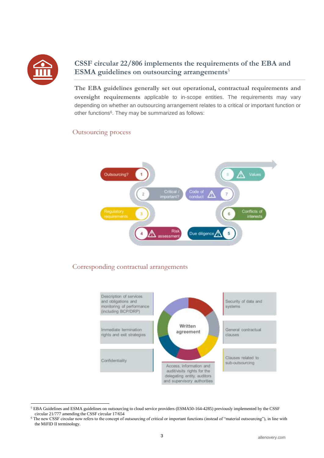

-

# **CSSF circular 22/806 implements the requirements of the EBA and ESMA guidelines on outsourcing arrangements**<sup>5</sup>

**The EBA guidelines generally set out operational, contractual requirements and oversight requirements** applicable to in-scope entities. The requirements may vary depending on whether an outsourcing arrangement relates to a critical or important function or other functions<sup>6</sup>. They may be summarized as follows:

#### Outsourcing process



# Corresponding contractual arrangements



<sup>5</sup> EBA Guidelines and ESMA guidelines on outsourcing to cloud service providers (ESMA50-164-4285) previously implemented by the CSSF circular 21/777 amending the CSSF circular 17/654

<sup>&</sup>lt;sup>6</sup> The new CSSF circular now refers to the concept of outsourcing of critical or important functions (instead of "material outsourcing"), in line with the MiFID II terminology.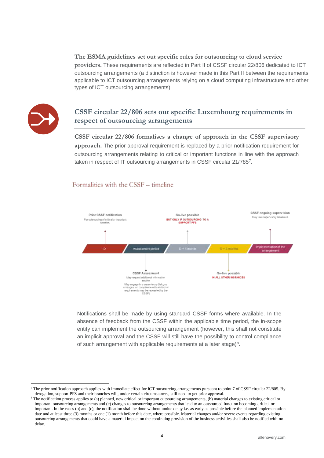**The ESMA guidelines set out specific rules for outsourcing to cloud service providers.** These requirements are reflected in Part II of CSSF circular 22/806 dedicated to ICT outsourcing arrangements (a distinction is however made in this Part II between the requirements applicable to ICT outsourcing arrangements relying on a cloud computing infrastructure and other types of ICT outsourcing arrangements).



1

### **CSSF circular 22/806 sets out specific Luxembourg requirements in respect of outsourcing arrangements**

**CSSF circular 22/806 formalises a change of approach in the CSSF supervisory approach.** The prior approval requirement is replaced by a prior notification requirement for outsourcing arrangements relating to critical or important functions in line with the approach taken in respect of IT outsourcing arrangements in CSSF circular 21/7857.

#### Formalities with the CSSF – timeline



Notifications shall be made by using standard CSSF forms where available. In the absence of feedback from the CSSF within the applicable time period, the in-scope entity can implement the outsourcing arrangement (however, this shall not constitute an implicit approval and the CSSF will still have the possibility to control compliance of such arrangement with applicable requirements at a later stage)<sup>8</sup>.

<sup>&</sup>lt;sup>7</sup> The prior notification approach applies with immediate effect for ICT outsourcing arrangements pursuant to point 7 of CSSF circular 22/805. By derogation, support PFS and their branches will, under certain circumstances, still need to get prior approval.

<sup>8</sup> The notification process applies to (a) planned, new critical or important outsourcing arrangements, (b) material changes to existing critical or important outsourcing arrangements and (c) changes to outsourcing arrangements that lead to an outsourced function becoming critical or important. In the cases (b) and (c), the notification shall be done without undue delay i.e. as early as possible before the planned implementation date and at least three (3) months or one (1) month before this date, where possible. Material changes and/or severe events regarding existing outsourcing arrangements that could have a material impact on the continuing provision of the business activities shall also be notified with no delay.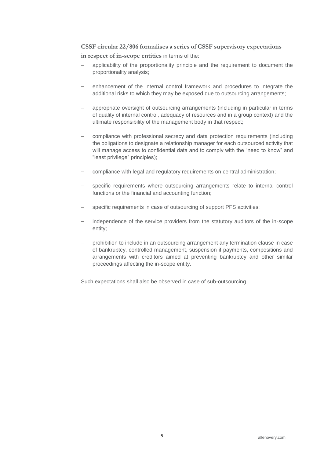# **CSSF circular 22/806 formalises a series of CSSF supervisory expectations**

**in respect of in-scope entities** in terms of the:

- applicability of the proportionality principle and the requirement to document the proportionality analysis;
- enhancement of the internal control framework and procedures to integrate the additional risks to which they may be exposed due to outsourcing arrangements;
- appropriate oversight of outsourcing arrangements (including in particular in terms of quality of internal control, adequacy of resources and in a group context) and the ultimate responsibility of the management body in that respect;
- compliance with professional secrecy and data protection requirements (including the obligations to designate a relationship manager for each outsourced activity that will manage access to confidential data and to comply with the "need to know" and "least privilege" principles);
- compliance with legal and regulatory requirements on central administration;
- specific requirements where outsourcing arrangements relate to internal control functions or the financial and accounting function;
- specific requirements in case of outsourcing of support PFS activities;
- independence of the service providers from the statutory auditors of the in-scope entity;
- prohibition to include in an outsourcing arrangement any termination clause in case of bankruptcy, controlled management, suspension if payments, compositions and arrangements with creditors aimed at preventing bankruptcy and other similar proceedings affecting the in-scope entity.

Such expectations shall also be observed in case of sub-outsourcing.